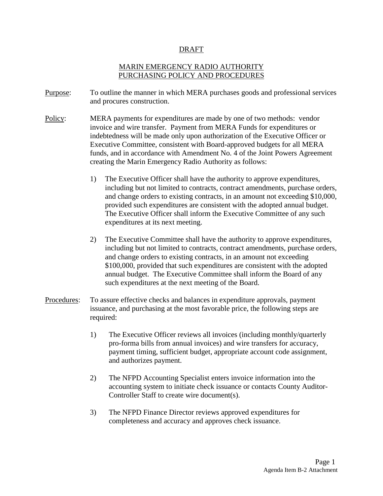#### DRAFT

## MARIN EMERGENCY RADIO AUTHORITY PURCHASING POLICY AND PROCEDURES

- Purpose: To outline the manner in which MERA purchases goods and professional services and procures construction.
- Policy: : MERA payments for expenditures are made by one of two methods: vendor invoice and wire transfer. Payment from MERA Funds for expenditures or indebtedness will be made only upon authorization of the Executive Officer or Executive Committee, consistent with Board-approved budgets for all MERA funds, and in accordance with Amendment No. 4 of the Joint Powers Agreement creating the Marin Emergency Radio Authority as follows:
	- 1) The Executive Officer shall have the authority to approve expenditures, including but not limited to contracts, contract amendments, purchase orders, and change orders to existing contracts, in an amount not exceeding \$10,000, provided such expenditures are consistent with the adopted annual budget. The Executive Officer shall inform the Executive Committee of any such expenditures at its next meeting.
	- 2) The Executive Committee shall have the authority to approve expenditures, including but not limited to contracts, contract amendments, purchase orders, and change orders to existing contracts, in an amount not exceeding \$100,000, provided that such expenditures are consistent with the adopted annual budget. The Executive Committee shall inform the Board of any such expenditures at the next meeting of the Board.
- Procedures : To assure effective checks and balances in expenditure approvals, payment issuance, and purchasing at the most favorable price, the following steps are required:
	- 1) The Executive Officer reviews all invoices (including monthly/quarterly pro-forma bills from annual invoices) and wire transfers for accuracy, payment timing, sufficient budget, appropriate account code assignment, and authorizes payment.
	- 2) The NFPD Accounting Specialist enters invoice information into the accounting system to initiate check issuance or contacts County Auditor-Controller Staff to create wire document(s).
	- 3) The NFPD Finance Director reviews approved expenditures for completeness and accuracy and approves check issuance.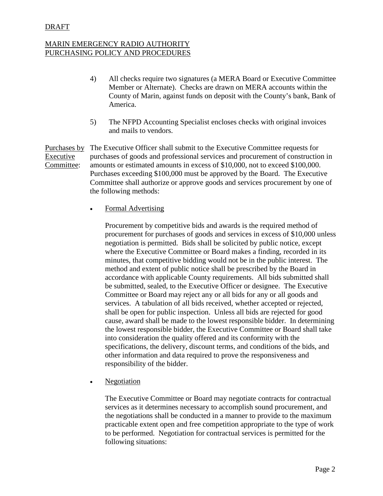#### DRAFT

## MARIN EMERGENCY RADIO AUTHORITY PURCHASING POLICY AND PROCEDURES

- 4) All checks require two signatures (a MERA Board or Executive Committee Member or Alternate). Checks are drawn on MERA accounts within the County of Marin, against funds on deposit with the County's bank, Bank of America.
- 5) The NFPD Accounting Specialist encloses checks with original invoices and mails to vendors.

Purchases by Executive Committee: The Executive Officer shall submit to the Executive Committee requests for purchases of goods and professional services and procurement of construction in amounts or estimated amounts in excess of \$10,000, not to exceed \$100,000. Purchases exceeding \$100,000 must be approved by the Board. The Executive Committee shall authorize or approve goods and services procurement by one of the following methods:

**Formal Advertising** 

Procurement by competitive bids and awards is the required method of procurement for purchases of goods and services in excess of \$10,000 unless negotiation is permitted. Bids shall be solicited by public notice, except where the Executive Committee or Board makes a finding, recorded in its minutes, that competitive bidding would not be in the public interest. The method and extent of public notice shall be prescribed by the Board in accordance with applicable County requirements. All bids submitted shall be submitted, sealed, to the Executive Officer or designee. The Executive Committee or Board may reject any or all bids for any or all goods and services. A tabulation of all bids received, whether accepted or rejected, shall be open for public inspection. Unless all bids are rejected for good cause, award shall be made to the lowest responsible bidder. In determining the lowest responsible bidder, the Executive Committee or Board shall take into consideration the quality offered and its conformity with the specifications, the delivery, discount terms, and conditions of the bids, and other information and data required to prove the responsiveness and responsibility of the bidder.

Negotiation

The Executive Committee or Board may negotiate contracts for contractual services as it determines necessary to accomplish sound procurement, and the negotiations shall be conducted in a manner to provide to the maximum practicable extent open and free competition appropriate to the type of work to be performed. Negotiation for contractual services is permitted for the following situations: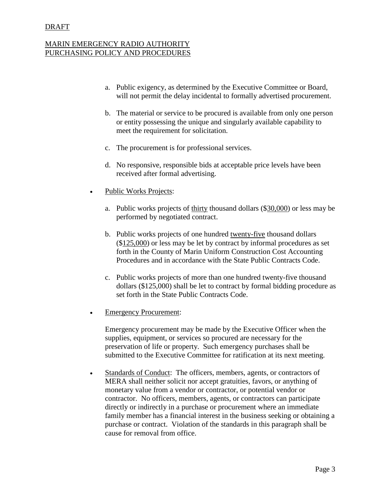#### DRAFT

## MARIN EMERGENCY RADIO AUTHORITY PURCHASING POLICY AND PROCEDURES

- a. Public exigency, as determined by the Executive Committee or Board, will not permit the delay incidental to formally advertised procurement.
- b. The material or service to be procured is available from only one person or entity possessing the unique and singularly available capability to meet the requirement for solicitation.
- c. The procurement is for professional services.
- d. No responsive, responsible bids at acceptable price levels have been received after formal advertising.
- Public Works Projects:
	- a. Public works projects of thirty thousand dollars (\$30,000) or less may be performed by negotiated contract.
	- b. Public works projects of one hundred twenty-five thousand dollars (\$125,000) or less may be let by contract by informal procedures as set forth in the County of Marin Uniform Construction Cost Accounting Procedures and in accordance with the State Public Contracts Code.
	- c. Public works projects of more than one hundred twenty-five thousand dollars (\$125,000) shall be let to contract by formal bidding procedure as set forth in the State Public Contracts Code.
- **Emergency Procurement:**

Emergency procurement may be made by the Executive Officer when the supplies, equipment, or services so procured are necessary for the preservation of life or property. Such emergency purchases shall be submitted to the Executive Committee for ratification at its next meeting.

• Standards of Conduct: The officers, members, agents, or contractors of MERA shall neither solicit nor accept gratuities, favors, or anything of monetary value from a vendor or contractor, or potential vendor or contractor. No officers, members, agents, or contractors can participate directly or indirectly in a purchase or procurement where an immediate family member has a financial interest in the business seeking or obtaining a purchase or contract. Violation of the standards in this paragraph shall be cause for removal from office.